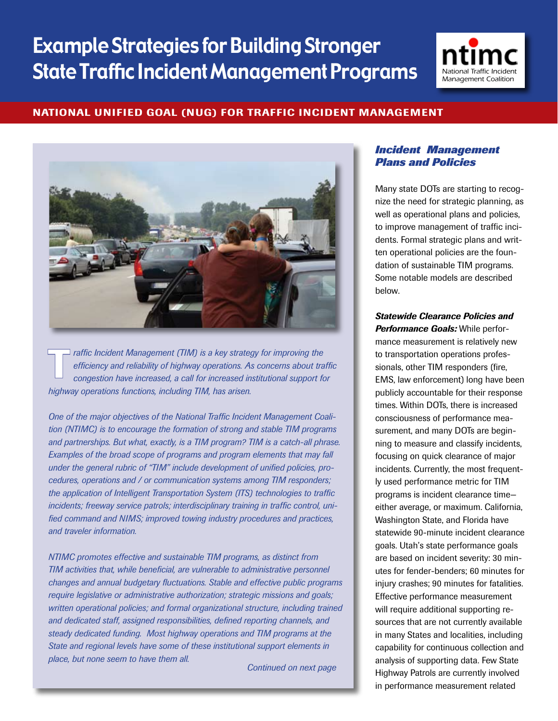# Example Strategies for Building Stronger **State Traffic Incident Management Programs**



#### National Unified Goal (NUG) for Traffic Incident Management



**Traffic Incident Management (TIM) is a key strategy for improving the efficiency and reliability of highway operations. As concerns about trange congestion have increased, a call for increased institutional support for in** *efficiency and reliability of highway operations. As concerns about traffic congestion have increased, a call for increased institutional support for highway operations functions, including TIM, has arisen.* 

*One of the major objectives of the National Traffic Incident Management Coalition (NTIMC) is to encourage the formation of strong and stable TIM programs and partnerships. But what, exactly, is a TIM program? TIM is a catch-all phrase. Examples of the broad scope of programs and program elements that may fall under the general rubric of "TIM" include development of unified policies, procedures, operations and / or communication systems among TIM responders; the application of Intelligent Transportation System (ITS) technologies to traffic incidents; freeway service patrols; interdisciplinary training in traffic control, unified command and NIMS; improved towing industry procedures and practices, and traveler information.* 

*NTIMC promotes effective and sustainable TIM programs, as distinct from TIM activities that, while beneficial, are vulnerable to administrative personnel changes and annual budgetary fluctuations. Stable and effective public programs require legislative or administrative authorization; strategic missions and goals; written operational policies; and formal organizational structure, including trained and dedicated staff, assigned responsibilities, defined reporting channels, and steady dedicated funding. Most highway operations and TIM programs at the State and regional levels have some of these institutional support elements in place, but none seem to have them all.* 

*Continued on next page*

#### *Incident Management Plans and Policies*

Many state DOTs are starting to recognize the need for strategic planning, as well as operational plans and policies, to improve management of traffic incidents. Formal strategic plans and written operational policies are the foundation of sustainable TIM programs. Some notable models are described below.

## *Statewide Clearance Policies and*

*Performance Goals:* While performance measurement is relatively new to transportation operations professionals, other TIM responders (fire, EMS, law enforcement) long have been publicly accountable for their response times. Within DOTs, there is increased consciousness of performance measurement, and many DOTs are beginning to measure and classify incidents, focusing on quick clearance of major incidents. Currently, the most frequently used performance metric for TIM programs is incident clearance time either average, or maximum. California, Washington State, and Florida have statewide 90-minute incident clearance goals. Utah's state performance goals are based on incident severity: 30 minutes for fender-benders; 60 minutes for injury crashes; 90 minutes for fatalities. Effective performance measurement will require additional supporting resources that are not currently available in many States and localities, including capability for continuous collection and analysis of supporting data. Few State Highway Patrols are currently involved in performance measurement related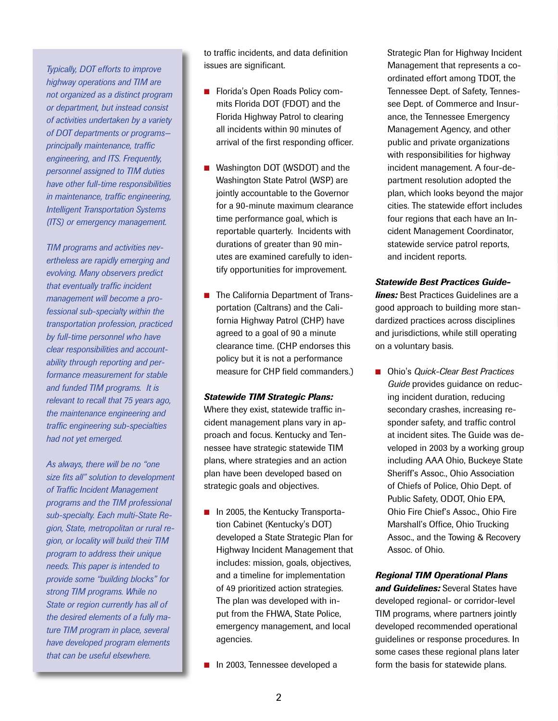*Typically, DOT efforts to improve highway operations and TIM are not organized as a distinct program or department, but instead consist of activities undertaken by a variety of DOT departments or programs principally maintenance, traffic engineering, and ITS. Frequently, personnel assigned to TIM duties have other full-time responsibilities in maintenance, traffic engineering, Intelligent Transportation Systems (ITS) or emergency management.*

*TIM programs and activities nevertheless are rapidly emerging and evolving. Many observers predict that eventually traffic incident management will become a professional sub-specialty within the transportation profession, practiced by full-time personnel who have clear responsibilities and accountability through reporting and performance measurement for stable and funded TIM programs. It is relevant to recall that 75 years ago, the maintenance engineering and traffic engineering sub-specialties had not yet emerged.*

*As always, there will be no "one size fits all" solution to development of Traffic Incident Management programs and the TIM professional sub-specialty. Each multi-State Region, State, metropolitan or rural region, or locality will build their TIM program to address their unique needs. This paper is intended to provide some "building blocks" for strong TIM programs. While no State or region currently has all of the desired elements of a fully mature TIM program in place, several have developed program elements that can be useful elsewhere.*

to traffic incidents, and data definition issues are significant.

- Florida's Open Roads Policy commits Florida DOT (FDOT) and the Florida Highway Patrol to clearing all incidents within 90 minutes of arrival of the first responding officer.
- Washington DOT (WSDOT) and the Washington State Patrol (WSP) are jointly accountable to the Governor for a 90-minute maximum clearance time performance goal, which is reportable quarterly. Incidents with durations of greater than 90 minutes are examined carefully to identify opportunities for improvement.
- The California Department of Transportation (Caltrans) and the California Highway Patrol (CHP) have agreed to a goal of 90 a minute clearance time. (CHP endorses this policy but it is not a performance measure for CHP field commanders.)

#### *Statewide TIM Strategic Plans:*

Where they exist, statewide traffic incident management plans vary in approach and focus. Kentucky and Tennessee have strategic statewide TIM plans, where strategies and an action plan have been developed based on strategic goals and objectives.

- $\blacksquare$  In 2005, the Kentucky Transportation Cabinet (Kentucky's DOT) developed a State Strategic Plan for Highway Incident Management that includes: mission, goals, objectives, and a timeline for implementation of 49 prioritized action strategies. The plan was developed with input from the FHWA, State Police, emergency management, and local agencies.
- n In 2003, Tennessee developed a

Strategic Plan for Highway Incident Management that represents a coordinated effort among TDOT, the Tennessee Dept. of Safety, Tennessee Dept. of Commerce and Insurance, the Tennessee Emergency Management Agency, and other public and private organizations with responsibilities for highway incident management. A four-department resolution adopted the plan, which looks beyond the major cities. The statewide effort includes four regions that each have an Incident Management Coordinator, statewide service patrol reports, and incident reports.

#### *Statewide Best Practices Guide-*

*lines:* Best Practices Guidelines are a good approach to building more standardized practices across disciplines and jurisdictions, while still operating on a voluntary basis.

■ Ohio's *Quick-Clear Best Practices Guide* provides guidance on reducing incident duration, reducing secondary crashes, increasing responder safety, and traffic control at incident sites. The Guide was developed in 2003 by a working group including AAA Ohio, Buckeye State Sheriff's Assoc., Ohio Association of Chiefs of Police, Ohio Dept. of Public Safety, ODOT, Ohio EPA, Ohio Fire Chief's Assoc., Ohio Fire Marshall's Office, Ohio Trucking Assoc., and the Towing & Recovery Assoc. of Ohio.

#### *Regional TIM Operational Plans*

*and Guidelines:* Several States have developed regional- or corridor-level TIM programs, where partners jointly developed recommended operational guidelines or response procedures. In some cases these regional plans later form the basis for statewide plans.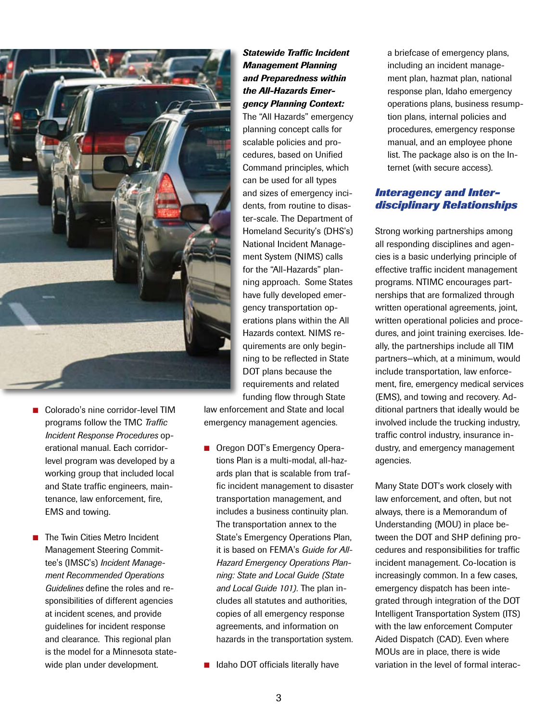

- Colorado's nine corridor-level TIM programs follow the TMC *Traffic Incident Response Procedures* operational manual. Each corridorlevel program was developed by a working group that included local and State traffic engineers, maintenance, law enforcement, fire, EMS and towing.
- The Twin Cities Metro Incident Management Steering Committee's (IMSC's) *Incident Management Recommended Operations Guidelines* define the roles and responsibilities of different agencies at incident scenes, and provide guidelines for incident response and clearance. This regional plan is the model for a Minnesota statewide plan under development.

#### *Statewide Traffic Incident Management Planning and Preparedness within the All-Hazards Emergency Planning Context:*

The "All Hazards" emergency planning concept calls for scalable policies and procedures, based on Unified Command principles, which can be used for all types and sizes of emergency incidents, from routine to disaster-scale. The Department of Homeland Security's (DHS's) National Incident Management System (NIMS) calls for the "All-Hazards" planning approach. Some States have fully developed emergency transportation operations plans within the All Hazards context. NIMS requirements are only beginning to be reflected in State DOT plans because the requirements and related funding flow through State

law enforcement and State and local emergency management agencies.

- Oregon DOT's Emergency Operations Plan is a multi-modal, all-hazards plan that is scalable from traffic incident management to disaster transportation management, and includes a business continuity plan. The transportation annex to the State's Emergency Operations Plan, it is based on FEMA's *Guide for All-Hazard Emergency Operations Planning: State and Local Guide (State and Local Guide 101).* The plan includes all statutes and authorities, copies of all emergency response agreements, and information on hazards in the transportation system.
- Idaho DOT officials literally have

a briefcase of emergency plans, including an incident management plan, hazmat plan, national response plan, Idaho emergency operations plans, business resumption plans, internal policies and procedures, emergency response manual, and an employee phone list. The package also is on the Internet (with secure access).

#### *Interagency and Interdisciplinary Relationships*

Strong working partnerships among all responding disciplines and agencies is a basic underlying principle of effective traffic incident management programs. NTIMC encourages partnerships that are formalized through written operational agreements, joint, written operational policies and procedures, and joint training exercises. Ideally, the partnerships include all TIM partners—which, at a minimum, would include transportation, law enforcement, fire, emergency medical services (EMS), and towing and recovery. Additional partners that ideally would be involved include the trucking industry, traffic control industry, insurance industry, and emergency management agencies.

Many State DOT's work closely with law enforcement, and often, but not always, there is a Memorandum of Understanding (MOU) in place between the DOT and SHP defining procedures and responsibilities for traffic incident management. Co-location is increasingly common. In a few cases, emergency dispatch has been integrated through integration of the DOT Intelligent Transportation System (ITS) with the law enforcement Computer Aided Dispatch (CAD). Even where MOUs are in place, there is wide variation in the level of formal interac-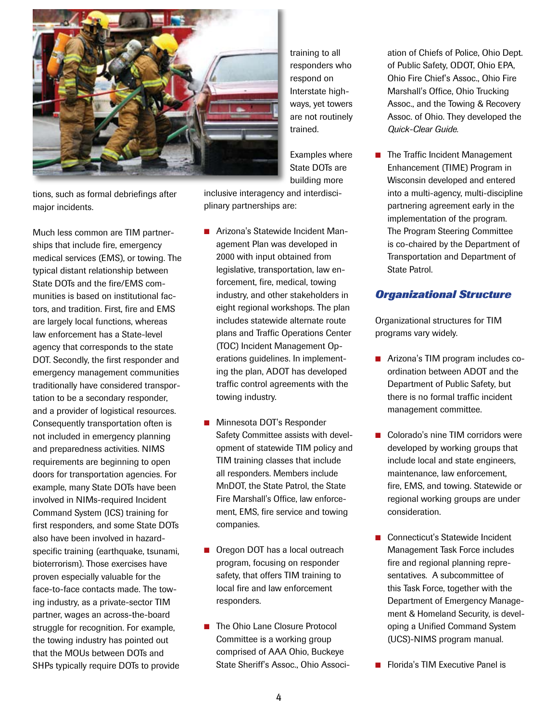

training to all responders who respond on Interstate highways, yet towers are not routinely trained.

Examples where State DOTs are building more

tions, such as formal debriefings after major incidents.

Much less common are TIM partnerships that include fire, emergency medical services (EMS), or towing. The typical distant relationship between State DOTs and the fire/EMS communities is based on institutional factors, and tradition. First, fire and EMS are largely local functions, whereas law enforcement has a State-level agency that corresponds to the state DOT. Secondly, the first responder and emergency management communities traditionally have considered transportation to be a secondary responder, and a provider of logistical resources. Consequently transportation often is not included in emergency planning and preparedness activities. NIMS requirements are beginning to open doors for transportation agencies. For example, many State DOTs have been involved in NIMs-required Incident Command System (ICS) training for first responders, and some State DOTs also have been involved in hazardspecific training (earthquake, tsunami, bioterrorism). Those exercises have proven especially valuable for the face-to-face contacts made. The towing industry, as a private-sector TIM partner, wages an across-the-board struggle for recognition. For example, the towing industry has pointed out that the MOUs between DOTs and SHPs typically require DOTs to provide

inclusive interagency and interdisciplinary partnerships are:

- Arizona's Statewide Incident Management Plan was developed in 2000 with input obtained from legislative, transportation, law enforcement, fire, medical, towing industry, and other stakeholders in eight regional workshops. The plan includes statewide alternate route plans and Traffic Operations Center (TOC) Incident Management Operations guidelines. In implementing the plan, ADOT has developed traffic control agreements with the towing industry.
- Minnesota DOT's Responder Safety Committee assists with development of statewide TIM policy and TIM training classes that include all responders. Members include MnDOT, the State Patrol, the State Fire Marshall's Office, law enforcement, EMS, fire service and towing companies.
- Oregon DOT has a local outreach program, focusing on responder safety, that offers TIM training to local fire and law enforcement responders.
- The Ohio Lane Closure Protocol Committee is a working group comprised of AAA Ohio, Buckeye State Sheriff's Assoc., Ohio Associ-

ation of Chiefs of Police, Ohio Dept. of Public Safety, ODOT, Ohio EPA, Ohio Fire Chief's Assoc., Ohio Fire Marshall's Office, Ohio Trucking Assoc., and the Towing & Recovery Assoc. of Ohio. They developed the *Quick-Clear Guide.*

■ The Traffic Incident Management Enhancement (TIME) Program in Wisconsin developed and entered into a multi-agency, multi-discipline partnering agreement early in the implementation of the program. The Program Steering Committee is co-chaired by the Department of Transportation and Department of State Patrol.

## *Organizational Structure*

Organizational structures for TIM programs vary widely.

- Arizona's TIM program includes coordination between ADOT and the Department of Public Safety, but there is no formal traffic incident management committee.
- Colorado's nine TIM corridors were developed by working groups that include local and state engineers, maintenance, law enforcement, fire, EMS, and towing. Statewide or regional working groups are under consideration.
- Connecticut's Statewide Incident Management Task Force includes fire and regional planning representatives. A subcommittee of this Task Force, together with the Department of Emergency Management & Homeland Security, is developing a Unified Command System (UCS)-NIMS program manual.
- **n** Florida's TIM Executive Panel is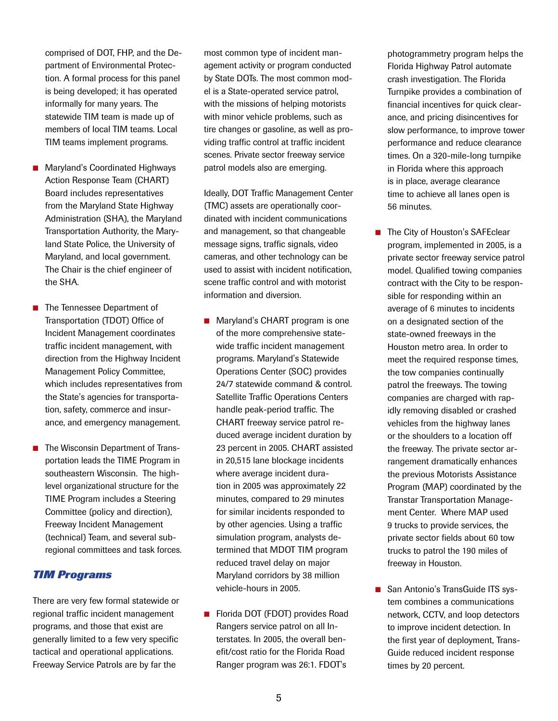comprised of DOT, FHP, and the Department of Environmental Protection. A formal process for this panel is being developed; it has operated informally for many years. The statewide TIM team is made up of members of local TIM teams. Local TIM teams implement programs.

- Maryland's Coordinated Highways Action Response Team (CHART) Board includes representatives from the Maryland State Highway Administration (SHA), the Maryland Transportation Authority, the Maryland State Police, the University of Maryland, and local government. The Chair is the chief engineer of the SHA.
- The Tennessee Department of Transportation (TDOT) Office of Incident Management coordinates traffic incident management, with direction from the Highway Incident Management Policy Committee, which includes representatives from the State's agencies for transportation, safety, commerce and insurance, and emergency management.
- The Wisconsin Department of Transportation leads the TIME Program in southeastern Wisconsin. The highlevel organizational structure for the TIME Program includes a Steering Committee (policy and direction), Freeway Incident Management (technical) Team, and several subregional committees and task forces.

### *TIM Programs*

There are very few formal statewide or regional traffic incident management programs, and those that exist are generally limited to a few very specific tactical and operational applications. Freeway Service Patrols are by far the

most common type of incident management activity or program conducted by State DOTs. The most common model is a State-operated service patrol, with the missions of helping motorists with minor vehicle problems, such as tire changes or gasoline, as well as providing traffic control at traffic incident scenes. Private sector freeway service patrol models also are emerging.

Ideally, DOT Traffic Management Center (TMC) assets are operationally coordinated with incident communications and management, so that changeable message signs, traffic signals, video cameras, and other technology can be used to assist with incident notification, scene traffic control and with motorist information and diversion.

- Maryland's CHART program is one of the more comprehensive statewide traffic incident management programs. Maryland's Statewide Operations Center (SOC) provides 24/7 statewide command & control. Satellite Traffic Operations Centers handle peak-period traffic. The CHART freeway service patrol reduced average incident duration by 23 percent in 2005. CHART assisted in 20,515 lane blockage incidents where average incident duration in 2005 was approximately 22 minutes, compared to 29 minutes for similar incidents responded to by other agencies. Using a traffic simulation program, analysts determined that MDOT TIM program reduced travel delay on major Maryland corridors by 38 million vehicle-hours in 2005.
- Florida DOT (FDOT) provides Road Rangers service patrol on all Interstates. In 2005, the overall benefit/cost ratio for the Florida Road Ranger program was 26:1. FDOT's

photogrammetry program helps the Florida Highway Patrol automate crash investigation. The Florida Turnpike provides a combination of financial incentives for quick clearance, and pricing disincentives for slow performance, to improve tower performance and reduce clearance times. On a 320-mile-long turnpike in Florida where this approach is in place, average clearance time to achieve all lanes open is 56 minutes.

- The City of Houston's SAFEclear program, implemented in 2005, is a private sector freeway service patrol model. Qualified towing companies contract with the City to be responsible for responding within an average of 6 minutes to incidents on a designated section of the state-owned freeways in the Houston metro area. In order to meet the required response times, the tow companies continually patrol the freeways. The towing companies are charged with rapidly removing disabled or crashed vehicles from the highway lanes or the shoulders to a location off the freeway. The private sector arrangement dramatically enhances the previous Motorists Assistance Program (MAP) coordinated by the Transtar Transportation Management Center. Where MAP used 9 trucks to provide services, the private sector fields about 60 tow trucks to patrol the 190 miles of freeway in Houston.
- San Antonio's TransGuide ITS system combines a communications network, CCTV, and loop detectors to improve incident detection. In the first year of deployment, Trans-Guide reduced incident response times by 20 percent.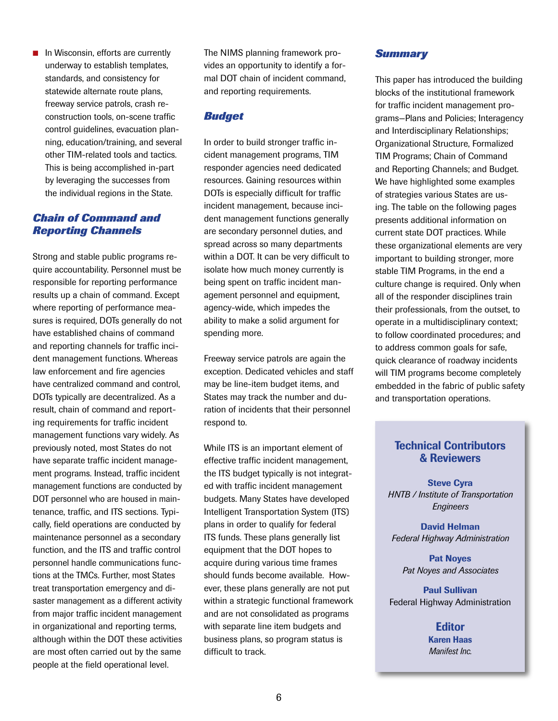$\blacksquare$  In Wisconsin, efforts are currently underway to establish templates, standards, and consistency for statewide alternate route plans, freeway service patrols, crash reconstruction tools, on-scene traffic control guidelines, evacuation planning, education/training, and several other TIM-related tools and tactics. This is being accomplished in-part by leveraging the successes from the individual regions in the State.

#### *Chain of Command and Reporting Channels*

Strong and stable public programs require accountability. Personnel must be responsible for reporting performance results up a chain of command. Except where reporting of performance measures is required, DOTs generally do not have established chains of command and reporting channels for traffic incident management functions. Whereas law enforcement and fire agencies have centralized command and control, DOTs typically are decentralized. As a result, chain of command and reporting requirements for traffic incident management functions vary widely. As previously noted, most States do not have separate traffic incident management programs. Instead, traffic incident management functions are conducted by DOT personnel who are housed in maintenance, traffic, and ITS sections. Typically, field operations are conducted by maintenance personnel as a secondary function, and the ITS and traffic control personnel handle communications functions at the TMCs. Further, most States treat transportation emergency and disaster management as a different activity from major traffic incident management in organizational and reporting terms, although within the DOT these activities are most often carried out by the same people at the field operational level.

The NIMS planning framework provides an opportunity to identify a formal DOT chain of incident command, and reporting requirements.

#### *Budget*

In order to build stronger traffic incident management programs, TIM responder agencies need dedicated resources. Gaining resources within DOTs is especially difficult for traffic incident management, because incident management functions generally are secondary personnel duties, and spread across so many departments within a DOT. It can be very difficult to isolate how much money currently is being spent on traffic incident management personnel and equipment, agency-wide, which impedes the ability to make a solid argument for spending more.

Freeway service patrols are again the exception. Dedicated vehicles and staff may be line-item budget items, and States may track the number and duration of incidents that their personnel respond to.

While ITS is an important element of effective traffic incident management, the ITS budget typically is not integrated with traffic incident management budgets. Many States have developed Intelligent Transportation System (ITS) plans in order to qualify for federal ITS funds. These plans generally list equipment that the DOT hopes to acquire during various time frames should funds become available. However, these plans generally are not put within a strategic functional framework and are not consolidated as programs with separate line item budgets and business plans, so program status is difficult to track.

#### *Summary*

This paper has introduced the building blocks of the institutional framework for traffic incident management programs—Plans and Policies; Interagency and Interdisciplinary Relationships; Organizational Structure, Formalized TIM Programs; Chain of Command and Reporting Channels; and Budget. We have highlighted some examples of strategies various States are using. The table on the following pages presents additional information on current state DOT practices. While these organizational elements are very important to building stronger, more stable TIM Programs, in the end a culture change is required. Only when all of the responder disciplines train their professionals, from the outset, to operate in a multidisciplinary context; to follow coordinated procedures; and to address common goals for safe, quick clearance of roadway incidents will TIM programs become completely embedded in the fabric of public safety and transportation operations.

## Technical Contributors & Reviewers

Steve Cyra *HNTB / Institute of Transportation Engineers*

David Helman *Federal Highway Administration*

Pat Noyes *Pat Noyes and Associates*

Paul Sullivan Federal Highway Administration

> **Editor** Karen Haas *Manifest Inc.*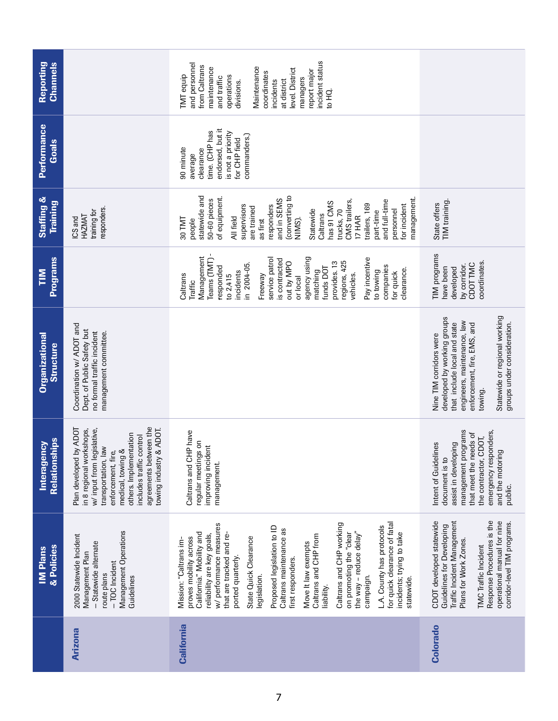| & Policies<br><b>IM Plans</b>              | Management Operations<br>2000 Statewide Incident<br>- Statewide alternate<br>Management Plan<br>$-TOC$ Incident<br>route plans<br>Guidelines<br>Arizona                                                                                                                                 | for quick clearance of fatal<br>Caltrans and CHP working<br>w/ performance measures<br>Proposed legislation to ID<br>L.A. County has protocols<br>Caltrans maintenance as<br>the way - reduce delay"<br>that are tracked and re-<br>incidents; trying to take<br>California." Mobility and<br>on promoting the "clear<br>reliability are key goals,<br>Caltrans and CHP from<br>proves mobility across<br>State Quick Clearance<br>Mission: "Caltrans im-<br>Move It law exempts<br>ported quarterly.<br>first responders.<br>legislation.<br>campaign.<br>statewide.<br>liability.<br><b>California</b> | CDOT developed statewide<br>Response Procedures is the<br>Traffic Incident Management<br>operational manual for nine<br>corridor-level TIM programs.<br><b>Guidelines for Developing</b><br>Plans for Work Zones.<br><b>TMC</b> Traffic Incident<br>Colorado |
|--------------------------------------------|-----------------------------------------------------------------------------------------------------------------------------------------------------------------------------------------------------------------------------------------------------------------------------------------|----------------------------------------------------------------------------------------------------------------------------------------------------------------------------------------------------------------------------------------------------------------------------------------------------------------------------------------------------------------------------------------------------------------------------------------------------------------------------------------------------------------------------------------------------------------------------------------------------------|--------------------------------------------------------------------------------------------------------------------------------------------------------------------------------------------------------------------------------------------------------------|
|                                            |                                                                                                                                                                                                                                                                                         |                                                                                                                                                                                                                                                                                                                                                                                                                                                                                                                                                                                                          |                                                                                                                                                                                                                                                              |
| <b>Relationships</b><br>Interagency        | agreements between the<br>Plan developed by ADOT<br>& ADOT.<br>in 8 regional workshops,<br>w/input from legislative,<br>others. Implementation<br>includes traffic control<br>$\overline{\phantom{a}}$<br>medical, towing &<br>enforcement, fire,<br>towing industry<br>transportation, | Caltrans and CHP have<br>regular meetings on<br>improving incident<br>management                                                                                                                                                                                                                                                                                                                                                                                                                                                                                                                         | management programs<br>emergency responders,<br>that meet the needs of<br>the contractor, CDOT,<br>assist in developing<br>Intent of Guidelines<br>and the motoring<br>document is to<br>public.                                                             |
| <b>Organizational</b><br><b>Structure</b>  | Coordination w/ ADOT and<br>Dept. of Public Safety but<br>no formal traffic incident<br>management committee.                                                                                                                                                                           |                                                                                                                                                                                                                                                                                                                                                                                                                                                                                                                                                                                                          | Statewide or regional working<br>developed by working groups<br>engineers, maintenance, law<br>groups under consideration.<br>enforcement, fire, EMS, and<br>that include local and state<br>Nine TIM corridors were<br>towing.                              |
| <b>Programs</b><br>$\overline{\mathbf{H}}$ |                                                                                                                                                                                                                                                                                         | Management<br>Pay incentive<br>agency using<br>Teams (TMT)<br>service patro<br>is contracted<br>regions, 425<br>provides. 13<br>out by MPO<br>in 2004-05.<br>companies<br>responded<br>funds DOT<br>clearance.<br>matching<br>to towing<br>incidents<br>for quick<br>vehicles.<br>Caltrans<br>Freeway<br>to 2,415<br>or local<br>Traffic                                                                                                                                                                                                                                                                 | TIM programs<br>coordinates.<br>CDOT TMC<br>by corridor.<br>have been<br>developed                                                                                                                                                                           |
| <b>Staffing &amp;</b><br><b>Training</b>   | responders.<br>training for<br>HAZMAT<br>ICS and                                                                                                                                                                                                                                        | (converting to<br>statewide and<br>of equipment.<br>management<br>and in SEMS<br>50-60 pieces<br>CMS trailers,<br>and full-time<br>has 91 CMS<br>trailers, 169<br>supervisors<br>responders<br>for incident<br>are trained<br>trucks, 70<br>Statewide<br>personnel<br>part-time<br>Caltrans<br>17 HAR<br>All field<br>NIMS).<br>30 TMT<br>as first<br>people                                                                                                                                                                                                                                             | TIM training.<br>State offers                                                                                                                                                                                                                                |
| <b>Performance</b><br>Goals                |                                                                                                                                                                                                                                                                                         | endorsed, but it<br>time. (CHP has<br>is not a priority<br>commanders.)<br>for CHP field<br>90 minute<br>clearance<br>average                                                                                                                                                                                                                                                                                                                                                                                                                                                                            |                                                                                                                                                                                                                                                              |
| Reporting<br>Channels                      |                                                                                                                                                                                                                                                                                         | incident status<br>and personnel<br>from Caltrans<br>Maintenance<br>maintenance<br>level. District<br>report major<br>coordinates<br><b>TMT</b> equip<br>operations<br>and traffic<br>managers<br>incidents<br>at district<br>divisions.<br>to HQ.                                                                                                                                                                                                                                                                                                                                                       |                                                                                                                                                                                                                                                              |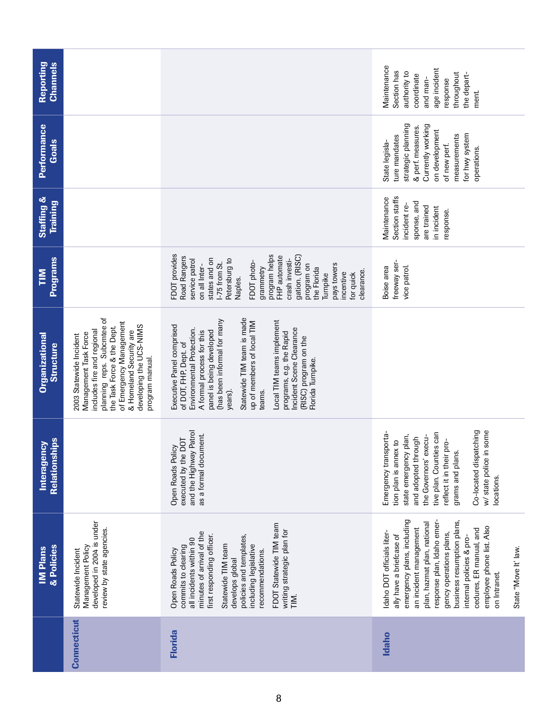| Reporting<br><b>Channels</b>       |                                                                                                                                                                                                                                                |                                                                                                                                                                                                                                                                                                                                                                                             | Maintenance<br>age incident<br>Section has<br>authority to<br>throughout<br>the depart-<br>coordinate<br>and man-<br>response<br>ment.                                                                                                                                                                                                                           |
|------------------------------------|------------------------------------------------------------------------------------------------------------------------------------------------------------------------------------------------------------------------------------------------|---------------------------------------------------------------------------------------------------------------------------------------------------------------------------------------------------------------------------------------------------------------------------------------------------------------------------------------------------------------------------------------------|------------------------------------------------------------------------------------------------------------------------------------------------------------------------------------------------------------------------------------------------------------------------------------------------------------------------------------------------------------------|
| <b>Performance</b><br>Goals        |                                                                                                                                                                                                                                                |                                                                                                                                                                                                                                                                                                                                                                                             | strategic planning<br>Currently working<br>& perf. measures.<br>on development<br>for hwy system<br>measurements<br>ture mandates<br>State legisla-<br>of new perf.<br>operations.                                                                                                                                                                               |
| Staffing &<br><b>Training</b>      |                                                                                                                                                                                                                                                |                                                                                                                                                                                                                                                                                                                                                                                             | Section staffs<br>Maintenance<br>sponse, and<br>incident re-<br>are trained<br>in incident<br>response.                                                                                                                                                                                                                                                          |
| <b>Programs</b><br>E               |                                                                                                                                                                                                                                                | FDOT provides<br>program helps<br>FHP automate<br>Road Rangers<br>gation. (RISC)<br>states and on<br>Petersburg to<br>service patrol<br>crash investi-<br>FDOT photo-<br>-75 from St.<br>pays towers<br>on all Inter-<br>program on<br>grammetry<br>the Florida<br>clearance.<br>incentive<br>for quick<br>Turnpike<br>Naples.                                                              | freeway ser-<br>vice patrol.<br>Boise area                                                                                                                                                                                                                                                                                                                       |
| <b>Organizational</b><br>Structure | planning reps. Subcmtee of<br>of Emergency Management<br>developing the UCS-NIMS<br>the Task Force & the Dept.<br>includes fire and regional<br>& Homeland Security are<br>Management Task Force<br>2003 Statewide Incident<br>program manual. | Statewide TIM team is made<br>(has been informal for many<br>Local TIM teams implement<br>up of members of local TIM<br>Executive Panel comprised<br>Incident Scene Clearance<br>Environmental Protection.<br>panel is being developed<br>A formal process for this<br>programs, e.g. the Rapid<br>(RISC) program on the<br>of DOT, FHP, Dept. of<br>Florida Turnpike.<br>teams.<br>years). |                                                                                                                                                                                                                                                                                                                                                                  |
| Relationships<br>Interagency       |                                                                                                                                                                                                                                                | and the Highway Patrol<br>as a formal document.<br>executed by the DOT<br>Open Roads Policy                                                                                                                                                                                                                                                                                                 | Co-located dispatching<br>in some<br>tive plan. Counties can<br>Emergency transporta-<br>state emergency plan,<br>the Governors' execu-<br>and adopted through<br>reflect it in their pro-<br>tion plan is annex to<br>grams and plans.<br>w/ state police<br>locations.                                                                                         |
| & Policies<br><b>IM Plans</b>      | developed in 2004 is under<br>review by state agencies.<br>Management Policy<br>Statewide Incident                                                                                                                                             | FDOT Statewide TIM team<br>writing strategic plan for<br>minutes of arrival of the<br>first responding officer.<br>policies and templates,<br>all incidents within 90<br>including legislative<br>Statewide TIM team<br>commits to clearing<br>Open Roads Policy<br>recommendations.<br>develops global<br>TIM.                                                                             | emergency plans, including<br>response plan, Idaho emer-<br>business resumption plans,<br>plan, hazmat plan, national<br>employee phone list. Also<br>an incident management<br>cedures, ER manual, and<br>Idaho DOT officials liter-<br>gency operations plans,<br>ally have a briefcase of<br>internal policies & pro-<br>State "Move It' law.<br>on Intranet. |
|                                    | <b>Connecticut</b>                                                                                                                                                                                                                             | <b>Florida</b>                                                                                                                                                                                                                                                                                                                                                                              | <b>Idaho</b>                                                                                                                                                                                                                                                                                                                                                     |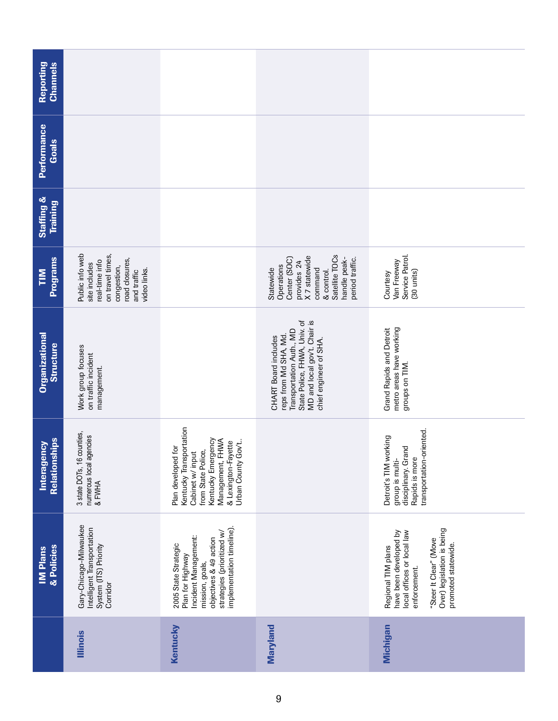| <b>Reporting</b><br><b>Channels</b>      |                                                                                                                                        |                                                                                                                                                                                          |                                                                                                                                                                     |                                                                                                                                                                           |
|------------------------------------------|----------------------------------------------------------------------------------------------------------------------------------------|------------------------------------------------------------------------------------------------------------------------------------------------------------------------------------------|---------------------------------------------------------------------------------------------------------------------------------------------------------------------|---------------------------------------------------------------------------------------------------------------------------------------------------------------------------|
| <b>Performance</b><br><b>Goals</b>       |                                                                                                                                        |                                                                                                                                                                                          |                                                                                                                                                                     |                                                                                                                                                                           |
| <b>Staffing &amp;</b><br><b>Training</b> |                                                                                                                                        |                                                                                                                                                                                          |                                                                                                                                                                     |                                                                                                                                                                           |
| <b>Programs</b><br>$\sum_{i=1}^{n}$      | Public info web<br>on travel times,<br>road closures,<br>real-time info<br>site includes<br>congestion,<br>video links.<br>and traffic |                                                                                                                                                                                          | Satellite TOCs<br>provides 24<br>X 7 statewide<br>Center (SOC)<br>handle peak-<br>period traffic.<br>Operations<br>command<br>Statewide<br>& control.               | Service Patrol.<br>Van Freeway<br>(30 units)<br>Courtesy                                                                                                                  |
| <b>Organizational</b><br>Structure       | Work group focuses<br>on traffic incident<br>management.                                                                               |                                                                                                                                                                                          | State Police, FHWA, Univ. of<br>MD and local gov't. Chair is<br>Transportation Auth., MD<br>reps from Md SHA, Md.<br>CHART Board includes<br>chief engineer of SHA. | metro areas have working<br><b>Grand Rapids and Detroit</b><br>groups on TIM.                                                                                             |
| <b>Relationships</b><br>Interagency      | 3 state DOTs, 16 counties,<br>numerous local agencies<br>& FWHA                                                                        | Kentucky Transportation<br>Kentucky Emergency<br>FHWA<br>& Lexington-Fayette<br>$Gov't$ .<br>Plan developed for<br>from State Police,<br>Cabinet w/ input<br>Management,<br>Urban County |                                                                                                                                                                     | transportation-oriented.<br>Detroit's TIM working<br>disciplinary. Grand<br>group is multi-<br>Rapids is more                                                             |
| & Policies<br><b>IM Plans</b>            | Gary-Chicago-Milwaukee<br>Intelligent Transportation<br>System (ITS) Priority<br>Corridor                                              | implementation timeline).<br>strategies (prioritized w/<br>Incident Management:<br>objectives & 49 action<br>2005 State Strategic<br>Plan for Highway<br>mission, goals,                 |                                                                                                                                                                     | Over) legislation is being<br>have been developed by<br>local offices or local law<br>"Steer It Clear" (Move<br>promoted statewide.<br>Regional TIM plans<br>enforcement. |
|                                          | <b>Illinois</b>                                                                                                                        | Kentucky                                                                                                                                                                                 | Maryland                                                                                                                                                            | Michigan                                                                                                                                                                  |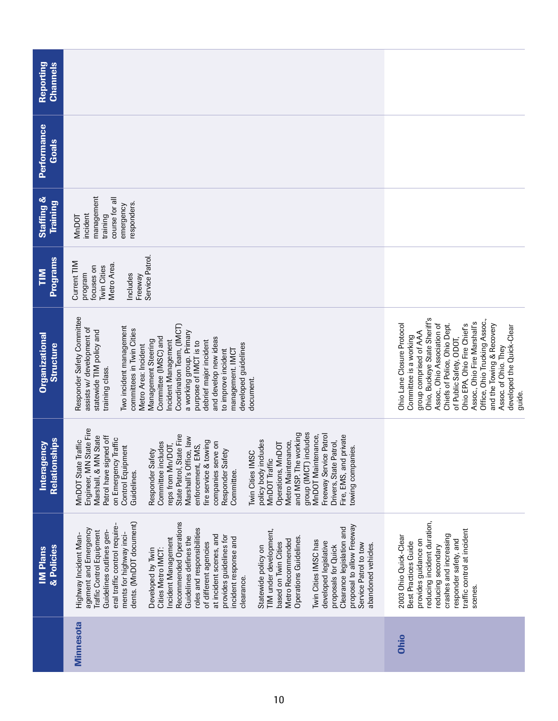| Reporting<br><b>Channels</b>              |                                                                                                                                                                                                                                                                                                                                                                                                                                                                                                                                                                                                                                                                                                                                                                                   |                                                                                                                                                                                                                                                                                                                                                                                                       |
|-------------------------------------------|-----------------------------------------------------------------------------------------------------------------------------------------------------------------------------------------------------------------------------------------------------------------------------------------------------------------------------------------------------------------------------------------------------------------------------------------------------------------------------------------------------------------------------------------------------------------------------------------------------------------------------------------------------------------------------------------------------------------------------------------------------------------------------------|-------------------------------------------------------------------------------------------------------------------------------------------------------------------------------------------------------------------------------------------------------------------------------------------------------------------------------------------------------------------------------------------------------|
| <b>Performance</b><br>Goals               |                                                                                                                                                                                                                                                                                                                                                                                                                                                                                                                                                                                                                                                                                                                                                                                   |                                                                                                                                                                                                                                                                                                                                                                                                       |
| Staffing &<br><b>Training</b>             | management<br>course for all<br>responders.<br>emergency<br>incident<br>training<br><b>MnDOT</b>                                                                                                                                                                                                                                                                                                                                                                                                                                                                                                                                                                                                                                                                                  |                                                                                                                                                                                                                                                                                                                                                                                                       |
| <b>Programs</b><br>$\sum_{i=1}^{n}$       | Service Patrol.<br>Current TIM<br>Metro Area.<br>focuses on<br><b>Twin Cities</b><br>program<br>Includes<br>Freeway                                                                                                                                                                                                                                                                                                                                                                                                                                                                                                                                                                                                                                                               |                                                                                                                                                                                                                                                                                                                                                                                                       |
| <b>Organizational</b><br><b>Structure</b> | Responder Safety Committee<br>Coordination Team, (IMCT)<br>Two incident management<br>assists w/ development of<br>committees in Twin Cities<br>statewide TIM policy and<br>a working group. Primary<br>Committee (IMSC) and<br>and develop new ideas<br>Management Steering<br>Incident Management<br>debrief major incident<br>purpose of IMCT is to<br>developed guidelines<br>Metro Area: Incident<br>management. IMCT<br>to improve incident<br>training class.<br>document.                                                                                                                                                                                                                                                                                                 | Ohio, Buckeye State Sheriff's<br>Office, Ohio Trucking Assoc.,<br>Assoc., Ohio Fire Marshall's<br>and the Towing & Recovery<br>Ohio Lane Closure Protocol<br>Chiefs of Police, Ohio Dept.<br>Ohio EPA, Ohio Fire Chief's<br>Assoc., Ohio Association of<br>developed the Quick-Clear<br>group comprised of AAA<br>Committee is a working<br>of Public Safety, ODOT,<br>Assoc. of Ohio. They<br>guide. |
| Relationships<br>Interagency              | Engineer, MN State Fire<br>group (IMCT) includes<br>and MSP. The working<br>Freeway Service Patrol<br>State Patrol, State Fire<br>Fire, EMS, and private<br>MnDOT Maintenance,<br>Marshall, & MN State<br>Patrol have signed off<br>Marshall's Office, law<br>on Emergency Traffic<br>MnDOT State Traffic<br>policy body includes<br>fire service & towing<br>Drivers, State Patrol,<br>Metro Maintenance,<br>Committee includes<br>companies serve on<br>Operations, MnDOT<br>reps from Mn/DOT,<br>enforcement, EMS,<br>Control Equipment<br>:owing companies.<br>Responder Safety<br>Responder Safety<br>Twin Cities IMSC<br>MnDOT Traffic<br>Committee.<br>Guidelines.                                                                                                         |                                                                                                                                                                                                                                                                                                                                                                                                       |
| & Policies<br><b>IM Plans</b>             | dents. (MnDOT document)<br>Recommended Operations<br>proposal to allow Freeway<br>eral traffic control require<br>Clearance legislation and<br>agement and Emergency<br>roles and responsibilities<br>TIM under development,<br>Traffic Control Equipment<br>Guidelines outlines gen-<br>ments for highway inci-<br>Highway Incident Man-<br>at incident scenes, and<br>provides guidelines for<br>Guidelines defines the<br>Operations Guidelines.<br>incident response and<br>Incident Management<br>Metro Recommended<br>Twin Cities IMSC has<br>developed legislative<br>of different agencies<br>based on Twin Cities<br>Service Patrol to tow<br>abandoned vehicles.<br>proposals for Quick<br>Statewide policy on<br>Cities Metro IMCT:<br>Developed by Twin<br>clearance. | reducing incident duration,<br>traffic control at incident<br>crashes and increasing<br>2003 Ohio Quick-Clear<br>provides guidance on<br>responder safety, and<br>Best Practices Guide<br>reducing secondary<br>scenes.                                                                                                                                                                               |
|                                           | <b>Minnesota</b>                                                                                                                                                                                                                                                                                                                                                                                                                                                                                                                                                                                                                                                                                                                                                                  | Ohio                                                                                                                                                                                                                                                                                                                                                                                                  |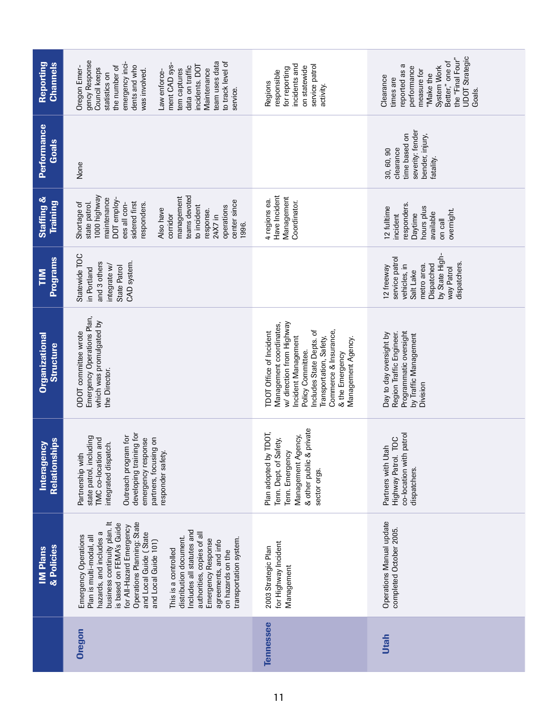| Reporting<br><b>Channels</b>              | gency Response<br>emergency inci-<br>team uses data<br>to track level of<br>ment CAD sys-<br>the number of<br>dents and who<br>incidents. DOT<br>data on traffic<br>Oregon Emer-<br>Council keeps<br>Maintenance<br>tem captures<br>Law enforce-<br>was involved.<br>statistics on<br>service.                                                                                                                                                                | incidents and<br>service patrol<br>on statewide<br>for reporting<br>responsible<br>Regions<br>activity.                                                                                                                                                     | <b>UDOT</b> Strategic<br>the "Final Four"<br>Better," one of<br>reported as a<br>System Work<br>performance<br>measure for<br>"Make the<br>Clearance<br>times are<br>Goals. |
|-------------------------------------------|---------------------------------------------------------------------------------------------------------------------------------------------------------------------------------------------------------------------------------------------------------------------------------------------------------------------------------------------------------------------------------------------------------------------------------------------------------------|-------------------------------------------------------------------------------------------------------------------------------------------------------------------------------------------------------------------------------------------------------------|-----------------------------------------------------------------------------------------------------------------------------------------------------------------------------|
| <b>Performance</b><br>Goals               | None                                                                                                                                                                                                                                                                                                                                                                                                                                                          |                                                                                                                                                                                                                                                             | severity: fender<br>time based on<br>bender, injury,<br>clearance<br>30, 60, 90<br>fatality.                                                                                |
| <b>Staffing &amp;</b><br><b>Training</b>  | 1000 highway<br>teams devoted<br>management<br>maintenance<br>DOT employ-<br>center since<br>sidered first<br>Shortage of<br>state patrol.<br>ees all con-<br>responders.<br>to incident<br>operations<br>Also have<br>response.<br>corridor<br>24X7 in<br>1996.                                                                                                                                                                                              | Have Incident<br>Management<br>4 regions ea.<br>Coordinator.                                                                                                                                                                                                | responders.<br>12 fulltime<br>hours plus<br>overnight.<br>available<br>Daytime<br>incident<br>on call                                                                       |
| <b>Programs</b><br>$\overline{\Xi}$       | Statewide TOC<br>CAD system.<br>and 3 others<br>integrate w/<br>State Patrol<br>in Portland                                                                                                                                                                                                                                                                                                                                                                   |                                                                                                                                                                                                                                                             | by State High-<br>service patrol<br>dispatchers.<br>Dispatched<br>vehicles, in<br>metro area.<br>12 freeway<br>way Patrol<br>Salt Lake                                      |
| <b>Organizational</b><br><b>Structure</b> | Emergency Operations Plan,<br>which was promulgated by<br>ODOT committee wrote<br>the Director.                                                                                                                                                                                                                                                                                                                                                               | w/ direction from Highway<br>Management coordinates,<br>Includes State Depts. of<br>Commerce & Insurance,<br><b>TDOT Office of Incident</b><br>Incident Management<br>Transportation, Safety,<br>Management Agency.<br>Policy Committee.<br>& the Emergency | Programmatic oversight<br>Day to day oversight by<br>Region Traffic Engineer.<br>by Traffic Management<br>Division                                                          |
| Relationships<br>Interagency              | developing training for<br>Outreach program for<br>state patrol, including<br>emergency response<br>partners, focusing on<br>TMC co-location and<br>integrated dispatch.<br>responder safety.<br>Partnership with                                                                                                                                                                                                                                             | & other public & private<br>Plan adopted by TDOT,<br>Management Agency,<br>Safety,<br>Tenn. Emergency<br>Tenn. Dept of<br>sector orgs.                                                                                                                      | co-location with patrol<br>I. TOC<br>Partners with Utah<br>Highway Patrol<br>dispatchers.                                                                                   |
| & Policies<br><b>IM Plans</b>             | business continuity plan. It<br>Operations Planning: State<br>is based on FEMA's Guide<br>for All-Hazard Emergency<br>Includes all statutes and<br>and Local Guide (State<br>authorities, copies of all<br>hazards, and includes a<br>Emergency Operations<br>Plan is multi-modal, all<br>distribution document.<br>transportation system.<br>Emergency Response<br>and Local Guide 101)<br>agreements, and info<br>This is a controlled<br>on hazards on the | for Highway Incident<br>2003 Strategic Plan<br>Management                                                                                                                                                                                                   | Operations Manual update<br>completed October 2005.                                                                                                                         |
|                                           | Oregon                                                                                                                                                                                                                                                                                                                                                                                                                                                        | Tennessee                                                                                                                                                                                                                                                   | <b>Utah</b>                                                                                                                                                                 |